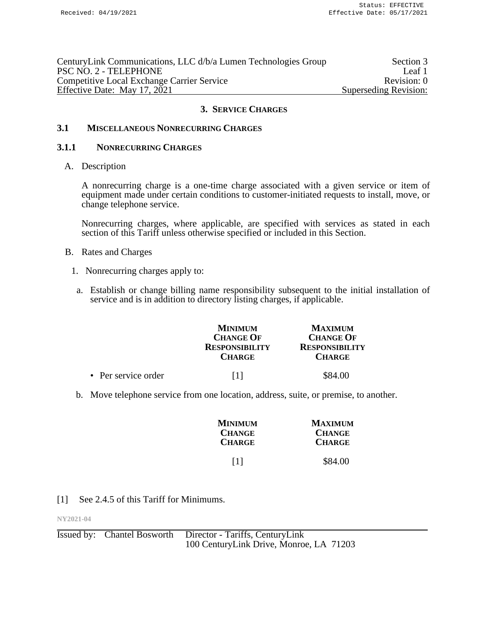| CenturyLink Communications, LLC d/b/a Lumen Technologies Group | Section 3             |
|----------------------------------------------------------------|-----------------------|
| PSC NO. 2 - TELEPHONE                                          | Leaf 1                |
| <b>Competitive Local Exchange Carrier Service</b>              | Revision: 0           |
| Effective Date: May 17, 2021                                   | Superseding Revision: |

### **3.1 MISCELLANEOUS NONRECURRING CHARGES**

#### **3.1.1 NONRECURRING CHARGES**

A. Description

A nonrecurring charge is a one-time charge associated with a given service or item of equipment made under certain conditions to customer-initiated requests to install, move, or change telephone service.

Nonrecurring charges, where applicable, are specified with services as stated in each section of this Tariff unless otherwise specified or included in this Section.

- B. Rates and Charges
	- 1. Nonrecurring charges apply to:
	- a. Establish or change billing name responsibility subsequent to the initial installation of service and is in addition to directory listing charges, if applicable.

|                     | <b>MINIMUM</b><br><b>CHANGE OF</b><br><b>RESPONSIBILITY</b><br><b>CHARGE</b> | <b>MAXIMUM</b><br><b>CHANGE OF</b><br><b>RESPONSIBILITY</b><br><b>CHARGE</b> |
|---------------------|------------------------------------------------------------------------------|------------------------------------------------------------------------------|
| • Per service order |                                                                              | \$84.00                                                                      |

b. Move telephone service from one location, address, suite, or premise, to another.

| <b>MINIMUM</b>    | <b>MAXIMUM</b> |
|-------------------|----------------|
| <b>CHANGE</b>     | <b>CHANGE</b>  |
| <b>CHARGE</b>     | <b>CHARGE</b>  |
| $\lceil 1 \rceil$ | \$84.00        |

## [1] See 2.4.5 of this Tariff for Minimums.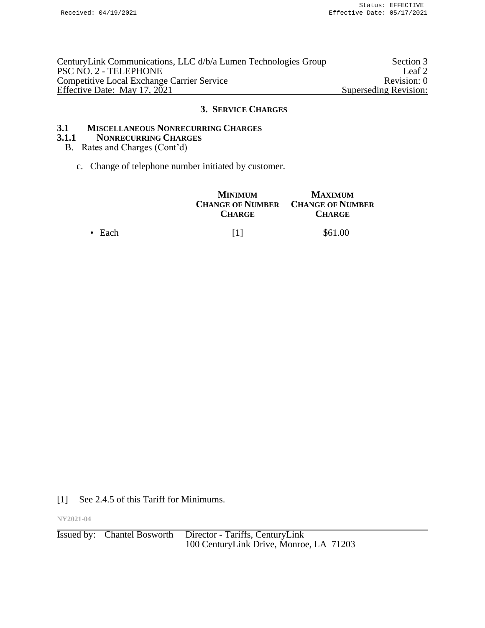| CenturyLink Communications, LLC d/b/a Lumen Technologies Group | Section 3             |
|----------------------------------------------------------------|-----------------------|
| PSC NO. 2 - TELEPHONE                                          | Leaf 2                |
| <b>Competitive Local Exchange Carrier Service</b>              | Revision: 0           |
| Effective Date: May 17, 2021                                   | Superseding Revision: |

# **3.1 MISCELLANEOUS NONRECURRING CHARGES**

#### **3.1.1 NONRECURRING CHARGES**

### B. Rates and Charges (Cont'd)

c. Change of telephone number initiated by customer.

|                | <b>MINIMUM</b><br><b>CHARGE</b> | <b>MAXIMUM</b><br><b>CHANGE OF NUMBER CHANGE OF NUMBER</b><br><b>CHARGE</b> |
|----------------|---------------------------------|-----------------------------------------------------------------------------|
| $\bullet$ Each | 111                             | \$61.00                                                                     |

[1] See 2.4.5 of this Tariff for Minimums.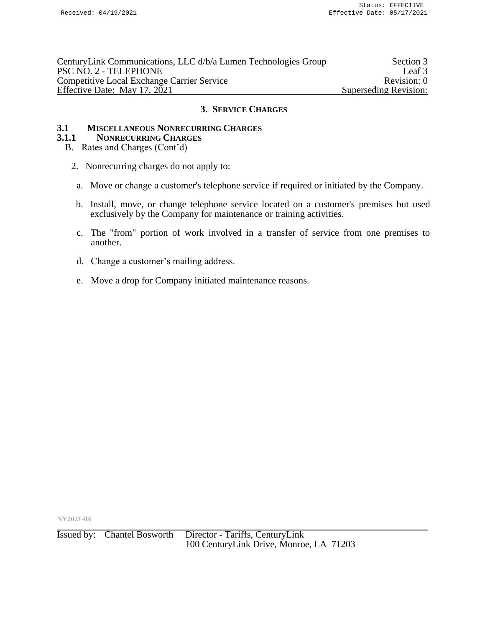| CenturyLink Communications, LLC d/b/a Lumen Technologies Group | Section 3             |
|----------------------------------------------------------------|-----------------------|
| PSC NO. 2 - TELEPHONE                                          | Leaf 3                |
| <b>Competitive Local Exchange Carrier Service</b>              | Revision: 0           |
| Effective Date: May 17, 2021                                   | Superseding Revision: |

# **3.1 MISCELLANEOUS NONRECURRING CHARGES**

#### **3.1.1 NONRECURRING CHARGES**

- B. Rates and Charges (Cont'd)
	- 2. Nonrecurring charges do not apply to:
		- a. Move or change a customer's telephone service if required or initiated by the Company.
	- b. Install, move, or change telephone service located on a customer's premises but used exclusively by the Company for maintenance or training activities.
	- c. The "from" portion of work involved in a transfer of service from one premises to another.
	- d. Change a customer's mailing address.
	- e. Move a drop for Company initiated maintenance reasons.